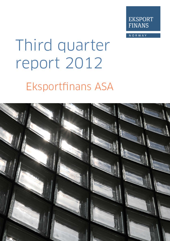

NORWAY

# Third quarter report 2012 **Eksportfinans ASA**

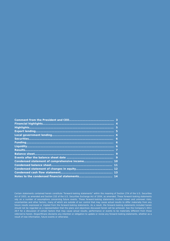| 5  |
|----|
|    |
| 6  |
| 6  |
| 6  |
| 6  |
|    |
| 9  |
| 9  |
|    |
| 11 |
|    |
|    |
|    |

Certain statements contained herein constitute "forward-looking statements" within the meaning of Section 27A of the U.S. Securities rely on a number of assumptions concerning future events. These forward-looking statements involve known and unknown risks, uncertainties and other factors, many of which are outside of our control that may cause actual results to differ materially from any future results expressed or implied from the forward-looking statements. As a result, the forward-looking statements included herein should not be regarded as a representation that the plans and objectives discussed herein will be achieved. See the Company's 2011 referred to herein. Eksportfinans disclaims any intention or obligation to update or revise any forward-looking statements, whether as a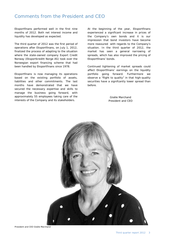## Comments from the President and CEO

Eksportfinans performed well in the first nine months of 2012. Both net interest income and liquidity has developed as expected.

The third quarter of 2012 was the first period of operations after Eksportfinans, on July 1, 2012, finalized the process of adapting to the situation where the state-owned company Export Credit Norway (Eksportkreditt Norge AS) took over the Norwegian export financing scheme that had been handled by Eksportfinans since 1978.

Eksportfinans is now managing its operations based on the existing portfolio of assets, liabilities and other commitments. The last months have demonstrated that we have secured the necessary expertise and skills to manage the business going forward, with approximately 55 employees taking care of the interests of the Company and its stakeholders.

At the beginning of the year, Eksportfinans experienced a significant increase in prices of the Company's own bonds and it is our impression that bond investors have become more reassured with regards to the Company's situation. In the third quarter of 2012, the market has seen a general narrowing of spreads, which has also improved the pricing of Eksportfinans' bonds.

Continued tightening of market spreads could affect Eksportfinans' earnings on the liquidity portfolio going forward. Furthermore we observe a "flight to quality" in that high-quality securities have a signifcantly lower spread than before.

> Gisèle Marchand President and CEO



President and CEO Gisèle Marchand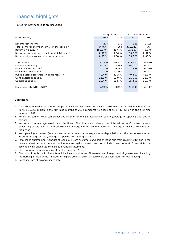# Financial highlights

Figures for interim periods are unaudited.

|                                                     | Third quarter |         | First nine months |         |
|-----------------------------------------------------|---------------|---------|-------------------|---------|
| (NOK million)                                       | 2012          | 2011    | 2012              | 2011    |
|                                                     |               |         |                   |         |
| Net interest income                                 | 277           | 373     | 986               | 1,105   |
| Total comprehensive income for the period 1)        | (4, 876)      | 264     | (12, 926)         | 374     |
| Return on equity $2$                                | (80.6 %)      | 21.6 %  | (61.1 %)          | 9.8%    |
| Net return on average assets and liabilities 3)     | 0.56%         | 0.66%   | 0.68%             | 0.67%   |
| Net operating expenses/average assets $4$           | 0.05%         | 0.08%   | 0.05%             | 0.08%   |
|                                                     |               |         |                   |         |
| Total assets                                        | 171,300       | 226,420 | 171,300           | 226,420 |
| Loans outstanding 5)                                | 95,712        | 123,342 | 95,712            | 123,342 |
| New loans disbursed <sup>6)</sup>                   | O             | 9,949   | 898               | 24,819  |
| New bond debt issued                                | $\circ$       | 11,669  | $\circ$           | 45,392  |
| Public sector borrowers or guarantors $\frac{7}{2}$ | 40.4 %        | 42.3 %  | 40.4 %            | 42.3 %  |
| Core capital adequacy                               | 21.5%         | 12.8 %  | 21.5%             | 12.8 %  |
| Capital adequacy                                    | 25.4 %        | 16.5%   | 25.4 %            | 16.5%   |
|                                                     |               |         |                   |         |
| Exchange rate NOK/USD <sup>8)</sup>                 | 5.6995        | 5.8417  | 5.6995            | 5.8417  |
|                                                     |               |         |                   |         |

#### **Definitions**

- 1.Total comprehensive income for the period includes net losses on financial instruments at fair value and amounts to NOK 18,865 million in the first nine months of 2012 compared to a loss of NOK 442 million in the first nine months of 2011.
- 2. Return on equity: Total comprehensive income for the period/average equity (average of opening and closing balance).
- 3. Net return on average assets and liabilities: The difference between net interest income/average interest generating assets and net interest expense/average interest bearing liabilities (average of daily calculations for the period).
- 4. Net operating expenses (salaries and other administrative expenses + depreciation + other expenses other income)/average assets (average of opening and closing balance).
- 5. Total loans outstanding: Consists of loans due from customers and part of loans due from credit institutions in the balance sheet. Accrued interest and unrealized gains/(losses) are not included, see notes 4, 5 and 6 to the accompanying unaudited condensed financial statements.
- 6. There were no loan disbursements in third quarter 2012.
- 7. The ratio of public sector loans (municipalities, counties and Norwegian and foreign central government, including the Norwegian Guarantee Institute for Export Credits (GIEK) as borrowers or guarantors) to total lending.
- 8. Exchange rate at balance sheet date.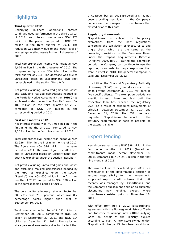# **Highlights**

#### **Third quarter 2012**

Underlying business operations showed continued good performance in the third quarter of 2012. Net interest income was NOK 277 million in the period, compared to NOK 373 million in the third quarter of 2011. The reduction was mainly due to the lower level of interest generating assets in the third quarter of 2012.

Total comprehensive income was negative NOK 4,876 million in the third quarter of 2012. The comparative figure was NOK 264 million in the third quarter of 2011. The decrease was due to unrealized losses on Eksportfinans' own debt (as explained in the section "Results").

Net profit excluding unrealized gains and losses and excluding realized gains/losses hedged by the Portfolio Hedge Agreement (the "**PHA**") (as explained under the section "Results") was NOK 180 million in the third quarter of 2012, compared to NOK 244 million in the corresponding period of 2011.

#### **First nine months 2012**

Net interest income was NOK 986 million in the first nine months of 2012, compared to NOK 1,105 million in the first nine months of 2011.

Total comprehensive income was negative NOK 12,926 million in the first nine months of 2012. The figure was NOK 374 million in the same period of 2011. The lower figure for 2012 was due to unrealized losses on Eksportfinans' own debt (as explained under the section "Results").

Net profit excluding unrealized gains and losses and excluding realized gains/losses hedged by the PHA (as explained under the section "Results") was NOK 650 million in the first nine months of 2012, compared to NOK 678 million in the corresponding period of 2011.

The core capital adequacy ratio at September 30, 2012 was 21.5 percent, which was 8.7 percentage points higher than that at September 30, 2011.

Total assets amounted to NOK 171 billion at September 30, 2012, compared to NOK 226 billion at September 30, 2011 and NOK 214 billion at December 31, 2011. The reduction since year-end was mainly due to the fact that

since November 18, 2011 Eksportfinans has not been providing new loans in the Company's name except with respect to commitments that existed prior to this date.

#### **Regulatory framework**

Eksportfinans is subject to temporary exemptions from the new regulations concerning the calculation of exposures to one single client, which are the same as the prevailing provisions in the European Union under the Capital Requirements Directive (Directive 2006/48/EU). During the exemption periods the Company can continue to use the reporting standards for large exposures that were in effect in 2010. The general exemption is valid until December 31, 2012.

In addition, the Financial Supervisory Authority of Norway ("FSA") has granted extended time limits beyond December 31, 2012 for loans to five specific clients. The exemption periods are specific to each loan and last until the respective loan has reached the regulatory level, as a result of scheduled repayments of principal, between December 31, 2014 and December 31, 2016. The FSA has also requested Eksportfinans to adapt to the statutory requirement as soon as possible, to the extent it is able.

# Export lending

New disbursements were NOK 898 million in the first nine months of 2012 (based on commitments made before November 18, 2011), compared to NOK 24.8 billion in the first nine months of 2011.

The lower volume of new lending in 2012 is a consequence of the government's decision to assume responsibility for the governmentsupported export credit scheme that until recently was managed by Eksportfinans, and the Company's subsequent decision to currently discontinue new lending, except where commitments existed prior to November 18, 2011.

With effect from July 1, 2012, Eksportfinans' agreement with the Norwegian Ministry of Trade and Industry to arrange new CIRR-qualifying loans on behalf of the Ministry expired according to plan. A new state-owned entity, Eksportkreditt Norge AS, has been established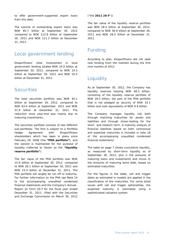to offer government-supported export loans from this date.

The volume of outstanding export loans was NOK 85.7 billion at September 30, 2012 compared to NOK 112.8 billion at September 30, 2011 and NOK 111.3 billion at December 31, 2011.

## Local government lending

Eksportfinans' total involvement in local government lending totaled NOK 10.0 billion at September 30, 2012, compared to NOK 10.5 billion at September 30, 2011 and NOK 10.5 billion at December 31, 2011.

## **Securities**

The total securities portfolio was NOK 44.1 billion at September 30, 2012, compared to NOK 63.0 billion at September, 2011 and NOK 51.9 billion at December 31, 2011. The reduction since year-end was mainly due to maturing investments.

The securities portfolio consists of two different sub-portfolios. The first is subject to a Portfolio Hedge Agreement with Eksportfinans shareholders which has been in place since February 29, 2008 (the **"PHA portfolio"**), and the second is maintained for the purpose of liquidity (referred to herein as the **"liquidity reserve portfolio"**).

The fair value of the PHA portfolio was NOK 15.6 billion at September 30, 2012, compared to NOK 26.1 billion at September 30, 2011 and NOK 23.4 billion at December 31, 2011. The PHA portfolio will largely be run off to maturity. For further information on the PHA see Note 14 to the accompanying unaudited condensed financial statements and the Company's Annual Report on Form 20-F for the fiscal year ended December 31, 2011, (filed with the Securities and Exchange Commission on March 30, 2012

("the **2011 20-F**")).

The fair value of the liquidity reserve portfolio was NOK 28.5 billion at September 30, 2012, compared to NOK 36.9 billion at September 30, 2011 and NOK 28.5 billion at December 31, 2011.

# Funding

According to plan, Eksportfinans did not seek new funding from the markets during the first nine months of 2012.

## **Liquidity**

As at September 30, 2012, the Company has liquidity reserves totaling NOK 48.5 billion, consisting of the liquidity reserve portfolio of NOK 28.5 billion, the part of the PHA portfolio that is not pledged as security of NOK 10.1 billion and cash equivalents of NOK 9.9 billion.

The Company manages liquidity risk both through matching maturities for assets and liabilities and through stress-testing for the short- and medium term. A maturity analysis of financial liabilities based on both contractual and expected maturities is included in note 16 of the accompanying unaudited condensed financial statements.

The table on page 7 shows cumulative liquidity, as measured by short-term liquidity as of September 30, 2012, plus i) the amounts of maturing loans and investments and minus ii) the amounts of maturing bond debt, based on estimated maturities.

For the figures in the table, call and trigger dates as estimated in models are applied in the classification of the maturities. For some bond issues with call and trigger optionalities, the expected maturity is estimated using a sophisticated valuation system.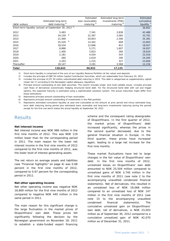|               |                                                                     | Estimated        | Estimated long-term    | Estimated               |
|---------------|---------------------------------------------------------------------|------------------|------------------------|-------------------------|
|               | Estimated long-term                                                 | loan receivables | investments (PHA)      | cumulative              |
| (NOK million) | debt maturing $4)$                                                  | maturing $5$     | maturing <sup>6)</sup> | liquidity $\frac{7}{2}$ |
|               | Short-term liquidity (actual) at September 30, 2012 <sup>1</sup> ): |                  |                        | 36,802                  |
| 2012          | 5,493                                                               | 7,341            | 3,838                  | 42,488                  |
| 2013          | 2)<br>34,159                                                        | 22,397           | 3,065                  | 33,791                  |
| 2014          | 21,569                                                              | 20,853           | 2,306                  | 35,381                  |
| 2015          | 3)<br>25,529                                                        | 13,342           | 609                    | 23,803                  |
| 2016          | 18,534                                                              | 12,846           | 812                    | 18,927                  |
| 2017          | 8,868                                                               | 5,271            | 1,607                  | 16,937                  |
| 2018          | 1,400                                                               | 3,823            | 260                    | 19,620                  |
| 2019          | 2,181                                                               | 4,034            | 543                    | 22,016                  |
| 2020          | 560                                                                 | 2,619            | 190                    | 24,265                  |
| 2021          | 2,203                                                               | 1,215            | 327                    | 23,604                  |
| Thereafter    | 18,147                                                              | 3,191            | 3,568                  | 12,216                  |
| Total         | 138,643                                                             | 96,932           | 17,125                 |                         |

1) Short-term liquidity is comprised of the sum of our Liquidity Reserve Portfolio (at fair value) and deposits

2) Includes the principal of GBP 50 million Capital Contribution Securities, which are redeemable from February 19, 2013

3) Includes the principal of JPY 50 million subordinated debt maturing in 2015. This debt is categorized as supplementary capital (lower tier II) according to the Norwegian capital adequacy regulations

4) Principal amount outstanding of own debt securities. The column includes single- and multi-callable issues. Includes principal cash flows of derivatives economically hedging structured bond debt. For the structured bond debt with call and trigger options, the expected maturity is estimated using a sophisticated valuation system. The actual maturities might differ from these estimations

5) Represents principal amount outstanding of loan receivables

6) Represents principal amount outstanding of investments in the PHA portfolio

7) Represents estimated cumulative liquidity at year-end (calculated as the amount at prior period end minus estimated longterm debt maturing during period plus estimated loans receivable and long-term investments maturing during the period) except for the first row which states the actual liquidity at September 30, 2012

#### **Results**

#### **Net interest income**

Net interest income was NOK 986 million in the first nine months of 2012. This was NOK 119 million lower than for the corresponding period in 2011. The main reason for the lower net interest income in the first nine months of 2012 compared to the first nine months of 2011, was the lower level of interest generating assets.

The net return on average assets and liabilities (see "Financial highlights" on page 4) was 0.68 percent in the first nine months of 2012, compared to 0.67 percent for the corresponding period in 2011.

#### **Net other operating income**

Net other operating income was negative NOK 18,809 million for the first nine months of 2012 compared to negative NOK 440 million in the same period in 2011.

The main reason for this significant change is the large fluctuation in the market prices of Eksportfinans' own debt. These prices fell significantly following the decision by the Norwegian government on November 18, 2011 to establish a state-funded export financing

scheme and the consequent rating downgrades of Eksportfinans. In the first quarter of 2012, the market prices of Eksportfinans' debt increased significantly, whereas the prices in the second quarter decreased, due to the general financial situation in Europe. In the third quarter, these prices have increased again, leading to a large net increase for the first nine months.

These market fluctuations have led to large changes in the fair value of Eksportfinans' own debt. In the first nine months of 2012, unrealized losses on Eksportfinans' own debt amounted to NOK 25,504 million compared to unrealized gains of NOK 3,740 million in the first nine months of 2011 (see note 2 to the accompanying unaudited condensed financial statements). Net of derivatives, this resulted in an unrealized loss of NOK 19,066 million compared to an unrealized loss of NOK 147 million in the first nine months of 2011 (see note 15 to the accompanying unaudited condensed financial statements). The cumulative unrealized gain on Eksportfinans' own debt, net of derivatives, is NOK 23,003 million as of September 30, 2012 compared to a cumulative unrealized gain of NOK 42,070 million as of December 31, 2011.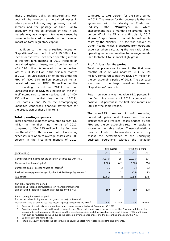These unrealized gains on Eksportfinans' own debt will be reversed as unrealized losses in future periods following any tightening in credit spreads and the passage of time. Capital adequacy will not be affected by this in any material way as changes in fair value caused by movements in credit spreads do not have an impact on total regulatory capital.

In addition to the net unrealized losses on Eksportfinans' own debt of NOK 19,066 million (net of derivatives), net other operating income in the first nine months of 2012 included an unrealized gain on loans, net of derivatives, of NOK 120 million (compared to an unrealized loss of NOK 45 million in the first nine months of 2011), an unrealized gain on bonds under the PHA of NOK 944 million (compared to an unrealized loss of NOK 98 million in the corresponding period in 2011) and an unrealized loss of NOK 985 million on the PHA itself (compared to an unrealized gain of NOK 136 million in the first nine months of 2011). (See notes 2 and 15 to the accompanying unaudited condensed financial statements for the breakdown of these line items).

#### **Total operating expenses**

Total operating expenses amounted to NOK 130 million in the first nine months of 2012, compared to NOK 145 million in the first nine months of 2011. The key ratio of net operating expenses in relation to average assets was 0.05 percent in the first nine months of 2012,

compared to 0.08 percent for the same period in 2011. The reason for this decrease is that the agreement with the Ministry of Trade and Industry (the "**Ministry**") in which Eksportfinans had a mandate to arrange loans on behalf of the Ministry until July 1, 2012 allowed Eksportfinans to be reimbursed for its costs by the Ministry. This fee was booked as Other Income, which is deducted from operating expenses when calculating the key ratio of net operating expenses relative to average assets (see footnote 4 to Financial Highlights).

#### **Profit/(loss) for the period**

Total comprehensive income in the first nine months of 2012 was negative NOK 12,926 million, compared to positive NOK 374 million in the corresponding period of 2011. The decrease was due to the large unrealized losses on Eksportfinans' own debt.

Return on equity was negative 61.1 percent in the first nine months of 2012, compared to positive 9.8 percent in the first nine months of 2011 for the same reason.

The non-IFRS measure of profit excluding unrealized gains and losses on financial instruments and realized losses hedged by the PHA, and the corresponding return on equity, is shown in the table below. These calculations may be of interest to investors because they assess the performance of the underlying business operations without the volatility

|                                                                                                                                                                                          |          | Third quarter | First nine months |       |
|------------------------------------------------------------------------------------------------------------------------------------------------------------------------------------------|----------|---------------|-------------------|-------|
| (NOK million)                                                                                                                                                                            | 2012     | 2011          | 2012              | 2011  |
| Comprehensive income for the period in accordance with IFRS                                                                                                                              | (4,876)  | 264           | (12, 926)         | 374   |
| Net unrealized losses/(gains)                                                                                                                                                            | 7,008    | (42)          | 18,868            | 316   |
| Unrealized gains/(losses) related to Iceland <sup>1)</sup>                                                                                                                               | 15       | 3             | 14                | 12    |
| Realized losses/(gains) hedged by the Porfolio Hedge Agreement <sup>2)</sup>                                                                                                             | $\Omega$ | 11            | (26)              | 93    |
| Tax effect $3$                                                                                                                                                                           | (1,966)  | 8             | (5,280)           | (118) |
| Non-IFRS profit for the period<br>excluding unrealized gains/(losses) on financial instruments<br>and excluding realized losses/(gains) hedged by the PHA                                | 180      | 244           | 650               | 678   |
| Return on equity based on profit<br>for the period excluding unrealized gains/(losses) on financial<br>instruments and excluding realized losses/(gains) hedged by the PHA <sup>4)</sup> | 11.0 %   | 17.5 %        | 13.8 %            | 16.9% |

1. Reversal of previously recognized loss (at exchange rates applicable at September 30, 2012).

2. Securities have been sold with realized gains/losses. These gains and losses are covered by the PHA, and will be settled according to that agreement. Eksportfinans therefore believes it is useful for investors to present this non-IFRS profit figure with such gains/losses excluded due to the economic arrangements under, and the accounting impacts of, the PHA.

3. 28 percent of the items above.

4. Return on equity: Profit for the period/average equity adjusted for proposed not distributed dividends.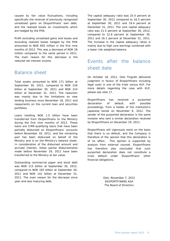caused by fair value fluctuations, including specifically the reversal of previously recognized unrealized gains on Eksportfinans' own debt, and the realized losses on investments which are hedged by the PHA.

Profit excluding unrealized gains and losses and excluding realized losses hedged by the PHA amounted to NOK 650 million in the first nine months of 2012. This was a decrease of NOK 28 million compared to the same period in 2011. The main reason for this decrease is the reduced net interest income.

## Balance sheet

Total assets amounted to NOK 171 billion at September 30, 2012, compared to NOK 226 billion at September 30, 2011 and NOK 214 billion at December 31, 2011. The reduction was mainly due to the limitations on new lending business since November 18, 2011 and repayments on the current loan and securities portfolios.

Loans totalling NOK 1.5 billion have been transferred from Eksportfinans to the Ministry during the first nine months of 2012. These loans are CIRR-qualifying loans that have been partially disbursed on Eksportfinans' accounts before November 18, 2011, and the remaining part has been disbursed on behalf of the Ministry and is on the Ministry's balance sheet. In consideration of the disbursed amount and accrued interest, these partial disbursements made before November 18, 2011 have been transferred to the Ministry at fair value.

Outstanding commercial paper and bond debt was NOK 115 billion at September 30, 2012, compared to NOK 192 billion at September 30, 2011 and NOK 141 billion at December 31, 2011. The main reason for the decrease since year-end was maturing debt.

The capital adequacy ratio was 25.4 percent at September 30, 2012 compared to 16.5 percent at September 30, 2011 and 19.4 percent at December 31, 2011. The core capital adequacy ratio was 21.5 percent at September 30, 2012, compared to 12.8 percent at September 30, 2011 and 16.1 percent at December 31, 2011. The increase in the capital adequacy ratios is mainly due to high core earnings combined with a lower risk-weighted balance.

# Events after the balance sheet date

On October 18, 2012, Oslo Tingrett delivered judgment in favour of Eksportfinans including legal costs in one of the trials versus KLP. For more details regarding the case with KLP, please see note 17.

Eksportfinans has received a purported declaration of default, with possible proceedings, from a holder of the institution's Japanese bonds on November 6, 2012. The sender of the purported declaration is the same investor who sent a similar declaration received by Eksportfinans on December 19, 2011.

Eksportfinans will vigorously resist on the basis that there is no default, and the Company is therefore of the opinion that this declaration is of no affect. This opinion is supported by analysis from external counsel. Eksportfinans has therefore also concluded that such purported declaration does not constitute a cross default under Eksportfinans' other financial obligations.

> Oslo, November 7, 2012 EKSPORTFINANS ASA The Board of Directors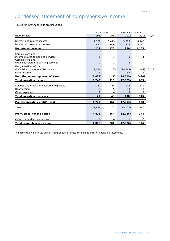# Condensed statement of comprehensive income

Figures for interim periods are unaudited.

|                                                       | Third quarter  |       | First nine months |       |       |
|-------------------------------------------------------|----------------|-------|-------------------|-------|-------|
| (NOK million)                                         | 2012           | 2011  |                   | 2011  | Note  |
| Interest and related income                           | 1,129          | 1,419 | 3,705             | 4,145 |       |
| Interest and related expenses                         | 852            | 1,046 | 2,719             | 3,040 |       |
| Net interest income                                   | 277            | 373   | 986               | 1,105 |       |
| Commissions and                                       |                |       |                   |       |       |
| income related to banking services<br>Commissions and | $\Omega$       | 1     | $\mathbf{0}$      | 1     |       |
| expenses related to banking services                  | 1              | 1     | 3                 | 4     |       |
| Net gains/(losses) on                                 |                |       |                   |       |       |
| financial instruments at fair value                   | (7,026)        | 35    | (18, 865)         | (442) | 2, 15 |
| Other income                                          | 5              | 2     | 59                | 5     |       |
| Net other operating income/ (loss)                    | (7, 022)       | 37    | (18, 809)         | (440) |       |
| <b>Total operating income</b>                         | (6, 745)       | 410   | (17, 823)         | 665   |       |
| Salaries and other administrative expenses            |                |       |                   |       |       |
|                                                       |                |       |                   |       |       |
|                                                       | 21             | 34    | 112               | 122   |       |
| Depreciation                                          | 4              | 5     | 13                | 14    |       |
| Other expenses                                        | $\overline{2}$ | 4     | 5                 | 9     |       |
| <b>Total operating expenses</b>                       | 27             | 43    | 130               | 145   |       |
| Pre-tax operating profit/(loss)                       | (6, 772)       | 367   | (17, 953)         | 520   |       |
| Taxes                                                 | (1,896)        | 103   | (5,027)           | 146   |       |
| Profit/(loss) for the period                          | (4, 876)       | 264   | (12, 926)         | 374   |       |
| Other comprehensive income                            | $\Omega$       | O     | $\mathbf{O}$      | 0     |       |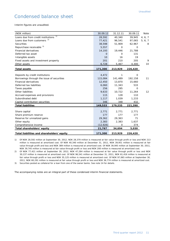# Condensed balance sheet

Interim figures are unaudited.

| (NOK million)                              | 30.09.12       | 31.12.11    | 30.09.11    | Note    |
|--------------------------------------------|----------------|-------------|-------------|---------|
| 1)<br>Loans due from credit institutions   | 28,592         | 40,340      | 39.945      | 4, 6, 7 |
| Loans due from customers <sup>2)</sup>     | 77,421         | 96,541      | 97,065      | 5, 6, 7 |
| <b>Securities</b>                          | 38,598         | 51,909      | 62,967      | 8       |
| Repurchase receivable 3)                   | 5,557          | $\Omega$    | 0           |         |
| <b>Financial derivatives</b>               | 14,193         | 19,446      | 21,788      |         |
| Deferred tax asset                         | $\overline{O}$ | $\mathbf 0$ | 131         |         |
| Intangible assets                          | 10             | 16          | 19          |         |
| Fixed assets and investment property       | 201            | 210         | 205         | 9       |
| Other assets                               | 6,728          | 5,467       | 4,300       | 10      |
| <b>Total assets</b>                        | 171,300        | 213,929     | 226,420     |         |
|                                            |                |             |             |         |
| Deposits by credit institutions            | 4,472          | 1           | $\mathbf 0$ |         |
| Borrowings through the issue of securities | 115,084        | 141,489     | 192,158     | 11      |
| <b>Financial derivatives</b>               | 12,450         | 13,870      | 15,660      |         |
| Deferred tax liabilities                   | 6,060          | 11,343      | 533         |         |
| Taxes payable                              | 256            | 295         | 0           |         |
| Other liabilities                          | 9,633          | 10,722      | 11,264      | 12      |
| Accrued expenses and provisions            | 115            | 128         | 110         |         |
| Subordinated debt                          | 1,117          | 1,039       | 1,233       |         |
| Capital contribution securities            | 346            | 348         | 432         |         |
| <b>Total liabilities</b>                   | 149,533        | 179,235     | 221,390     |         |
|                                            |                |             |             |         |
| Share capital                              | 2,771          | 2,771       | 2,771       |         |
| Share premium reserve                      | 177            | 177         | 177         |         |
| Reserve for unrealized gains               | 29,362         | 29,363      | 71          |         |
| Other equity                               | 2,383          | 2,383       | 1,637       |         |
| Comprehensive income                       | (12, 926)      | 0           | 374         |         |
| Total shareholders' equity                 | 21,767         | 34,694      | 5,030       |         |
| Total liabilities and shareholders' equity | 171,300        | 213,929     | 226,420     |         |

1) Of NOK 28,592 million at September 30, 2012, NOK 28,379 million is measured at fair value through profit or loss and NOK 213 million is measured at amortized cost. Of NOK 40,340 million at December 31, 2011, NOK 39,951 million is measured at fair value through profit and loss and NOK 389 million is measured at amortized cost. Of NOK 39,945 million at September 30, 2011, NOK 39,745 million is measured at fair value through profit or loss and NOK 200 million is measured at amortized cost.

2) Of NOK 77,421 million at September 30, 2012, NOK 47,284 million is measured at fair value through profit or loss and NOK 30,137 million is measured at amortized cost. Of NOK 96,541 million at December 31, 2011, NOK 61,416 million is measured at fair value through profit or loss and NOK 35,125 million is measured at amortized cost. Of NOK 97,065 million at September 30, 2011, NOK 60,291 million is measured at fair value through profit or loss and NOK 36,774 million is measured at amortized cost.

3) Securities posted as collateral for a loan from one of the owner banks. See note 14 for details.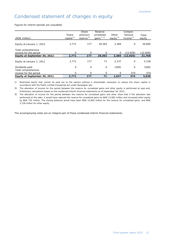# Condensed statement of changes in equity

Figures for interim periods are unaudited.

| (NOK million)                                | Share<br>capital $^{1)}$ | Share<br>premium<br>reserve $1$ | Reserve<br>unrealized<br>gains $1, 2$ | Other<br>equity $2$ | Compre-<br>hensive<br>income $3$ ) | Total<br>equity |
|----------------------------------------------|--------------------------|---------------------------------|---------------------------------------|---------------------|------------------------------------|-----------------|
| Equity at January 1, 2012                    | 2,771                    | 177                             | 29,363                                | 2,384               | 0                                  | 34,695          |
| Total comprehensive<br>income for the period | $\Omega$                 | $\Omega$                        | O                                     | $\Omega$            | (12,926)                           | (12, 926)       |
| Equity at September 30, 2012                 | 2,771                    | 177                             | 29,363                                | 2,384               | (12, 926)                          | 21,768          |
| Equity at January 1, 2011                    | 2.771                    | 177                             | 71                                    | 2,137               | $\mathbf 0$                        | 5,156           |
| Dividends paid<br>Total comprehensive        | O                        | 0                               | 0                                     | (500)               | 0                                  | (500)           |
| income for the period                        | $\Omega$                 | 0                               | 0                                     | 0                   | 374                                | 374             |
| Equity at September 30, 2011                 | 2,771                    | 177                             | 71                                    | 1.637               | 374                                | 5,030           |

1) Restricted equity that cannot be paid out to the owners without a shareholder resolution to reduce the share capital in accordance with the Public Limited Companies Act under Norwegian law.

2) The allocation of income for the period between the reserve for unrealized gains and other equity is performed at year-end. Preliminary calculations based on the condensed interim financial statements as of September 30, 2012.

3) The allocation of income for the period between the reserve for unrealized gains and other show that if the allocation was performed at this date, it would have reduced the reserve for unrealized gains by NOK 13,681 million and increased other equity by NOK 755 million. The closing balances would have been NOK 15,682 million for the reserve for unrealized gains, and NOK 3,139 million for other equity.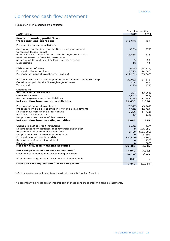# Condensed cash flow statement

Figures for interim periods are unaudited.

|                                                                     | First nine months |           |
|---------------------------------------------------------------------|-------------------|-----------|
| (NOK million)                                                       | 2012              | 2011      |
| Pre-tax operating profit/(loss)                                     |                   |           |
| from continuing operations                                          | (17, 953)         | 520       |
| Provided by operating activities:                                   |                   |           |
| Accrual of contribution from the Norwegian government               | (269)             | (277)     |
| Unrealized losses (gains)                                           |                   |           |
| on financial instruments at fair value through profit or loss       | 18,868            | 316       |
| Realized losses on financial instruments                            |                   |           |
| at fair value through profit or loss [non-cash items]               | 9                 | 27        |
| Depreciation                                                        | 13                | 14        |
| Disbursement of loans                                               | (898)             | (24, 819) |
| Principal collected on loans                                        | 23,773            | 24,080    |
| Purchase of financial investments (trading)                         | (29, 131)         | (35,606)  |
|                                                                     |                   |           |
| Proceeds from sale or redemption of financial investments (trading) | 32,082            | 34,175    |
| Contribution paid by the Norwegian government                       | 405               | 382       |
| Taxes paid                                                          | (295)             | (74)      |
| Changes in:                                                         |                   |           |
| Accrued interest receivable                                         | 227               | (13, 261) |
| Other receivables                                                   | (1,642)           | (568)     |
| Accrued expenses and other liabilities                              | (754)             | 17,187    |
| Net cash flow from operating activities                             | 24,435            | 2,096     |
| Purchase of financial investments                                   | (3, 577)          | (5, 267)  |
| Proceeds from sale or redemption of financial investments           | 6,378             | 10,367    |
| Net cashflow from financial derivatives                             | 5,286             | (4, 711)  |
| Purchases of fixed assets                                           | (3)               | (14)      |
| Net proceeds from sales of fixed assets                             | $\overline{2}$    |           |
| Net cash flow from investing activities                             | 8,086             | 375       |
|                                                                     |                   |           |
| Change in debt to credit institutions                               | 4,420             | (46)      |
| Net proceeds from issuance of commercial paper debt                 | 0                 | 166,259   |
| Repayments of commercial paper debt                                 | (5, 488)          | (161,980) |
| Net proceeds from issuance of bond debt                             | O                 | 45,392    |
| Principal payments on bond debt                                     | (36, 400)         | (43, 766) |
| Repayments of subordinated debt                                     | O                 | (438)     |
| Dividends paid                                                      | O                 | (500)     |
| Net cash flow from financing activities                             | (37, 468)         | 4,921     |
| Net change in cash and cash equivalents"                            | (4, 947)          | 7,392     |
| Cash and cash equivalents at beginning of period                    | 13,403            | 3.932     |
| Effect of exchange rates on cash and cash equivalents               | (614)             | $\Omega$  |
| Cash and cash equivalents <sup>*</sup> at end of period             | 7,842             | 11,324    |

\*) Cash equivalents are defined as bank deposits with maturity less than 3 months.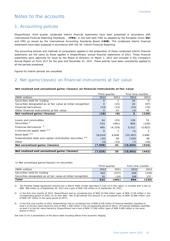## Notes to the accounts

#### 1. Accounting policies

Eksportfinans' third quarter condensed interim financial statements have been presented in accordance with International Financial Reporting Standards – (**IFRS**), in line with both IFRS as adopted by the European Union (**EU**) and IFRS as issued by the International Accounting Standards Board (**IASB**). The condensed interim financial statements have been prepared in accordance with IAS 34, Interim Financial Reporting.

The accounting policies and methods of computation applied in the preparation of these condensed interim financial statements are the same as those applied in Eksportfinans' annual financial statements of 2011. Those financial statements were approved for issue by the Board of Directors on March 1, 2012 and included in the Company's Annual Report on Form 20-F for the year-end December 31, 2011. These policies have been consistently applied to all the periods presented.

Figures for interim periods are unaudited.

#### 2. Net gains/(losses) on financial instruments at fair value

#### **Net realized and unrealized gains/(losses) on financial instruments at fair value**

|                                                               | Third quarter |          | First nine months |          |
|---------------------------------------------------------------|---------------|----------|-------------------|----------|
| (NOK million)                                                 | 2012          | 2011     | 2012              | 2011     |
| Securities held for trading                                   | 5             | 1        | 34                | $\Omega$ |
| Securities designated as at fair value at initial recognition | $\Omega$      | (15)     | 26                | (97)     |
| <b>Financial derivatives</b>                                  | (23)          | (13)     | (55)              | (70)     |
| Other financial instruments at fair value                     | $\Omega$      | 21       | (2)               | 41       |
| Net realized gains/(losses)                                   | (18)          | (6)      | 3                 | (126)    |
|                                                               |               |          |                   |          |
| Loans and receivables                                         | 44            | (31)     | 136               | 51       |
| Securities <sup>1)</sup>                                      | 533           | (491)    | 994               | (239)    |
| Financial derivatives <sup>2)</sup>                           | 465           | (4, 319) | 5,512             | (3,852)  |
| Commercial paper debt 3) 4)                                   | $\circ$       |          | (1)               | 2        |
| Bond debt <sup>3) 4)</sup>                                    | (8,014)       | 4,838    | (25, 397)         | 3,690    |
| Subordinated debt and capital contribution securities 3) 4)   | (32)          | 58       | (105)             | 48       |
| Other                                                         | (4)           | (15)     | (7)               | (16)     |
| Net unrealized gains/(losses)                                 | (7,008)       | 41       | (18, 868)         | (316)    |
|                                                               |               |          |                   |          |
| Net realized and unrealized gains/(losses)                    | (7,026)       | 35       | (18, 865)         | (442)    |

1) Net unrealized gains/(losses) on securities

|                                                               | Third quarter |       | First nine months |       |
|---------------------------------------------------------------|---------------|-------|-------------------|-------|
| (NOK million)                                                 | 2012          | 2011  | 2012              | 2011  |
| Securities held for trading                                   | 442           | (477) | 826               | (376) |
| Securities designated as at fair value at initial recognition | 91            | (14)  | 168               | 137   |
| Total                                                         | 533           | (491) | 994               | (239) |

2) The Portfolio Hedge Agreement entered into in March 2008, further described in note 14 of this report, is included with a loss of NOK 985 million as of September 30, 2012 and a gain of NOK 136 million as of September 30, 2011.

3) In the first nine months of 2012, Eksportfinans had an unrealized loss of NOK 25,504 million (gain of NOK 3,740 million in the corresponding period of 2011) on its own debt. Net of derivatives this amount is an unrealized loss of NOK 19,066 million (loss of NOK 147 million in the same period of 2011).

4) In the first nine months of 2012, Eksportfinans had an unrealized loss of NOK 8,238 million of financial liabilities classified as level 2 in the fair value hierarchy (loss of NOK 1,160 million in the corresponding period of 2011). Of financial liabilities classified as level 3 in the fair value hierarchy, Eksportfinans had a loss of NOK 17,266 million (gain of NOK 4,900 million in the same period of 2011).

See note 15 for a presentation of the above table including effects from economic hedging.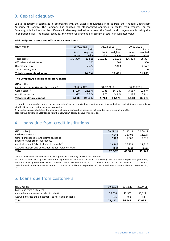## 3. Capital adequacy

Capital adequacy is calculated in accordance with the Basel II regulations in force from the Financial Supervisory Authority of Norway. The Company has adopted the standardized approach to capital requirements. For the Company, this implies that the difference in risk-weighted value between the Basel I and II regulations is mainly due to operational risk. The capital adequacy minimum requirement is 8 percent of total risk-weighted value.

#### **Risk-weighted assets and off-balance sheet items**

| (NOK million)             | 30.09.2012  |          | 31.12.2011  |          | 30.09.2011  |          |
|---------------------------|-------------|----------|-------------|----------|-------------|----------|
|                           |             | Risk-    |             | Risk-    |             | Risk-    |
|                           | <b>Book</b> | weighted | <b>Book</b> | weighted | <b>Book</b> | weighted |
|                           | value       | value    | value       | value    | value       | value    |
| Total assets              | 171,300     | 21,515   | 213.929     | 26,933   | 226,420     | 28,324   |
| Off-balance sheet items   |             | 155      |             | 304      |             | 360      |
| Operational risk          |             | 2,424    |             | 2.424    |             | 2,577    |
| Total currency risk       |             |          |             |          |             |          |
| Total risk-weighted value |             | 24.094   |             | 29,661   |             | 31,261   |

#### **The Company's eligible regulatory capital**

| (NOK million                           |            |       |            |        |            |           |
|----------------------------------------|------------|-------|------------|--------|------------|-----------|
| and in percent of risk-weighted value) | 30.09.2012 |       | 31.12.2011 |        | 30.09.2011 |           |
| Core capital <sup>1)</sup>             | 5.189      | 21.5% | 4.786      | 16.1 % | 3.987      | 12.8 %    |
| Additional capital <sup>2)</sup>       | 927        | 3.8%  | 975        | 3.3%   | 1,186      | 3.8%      |
| Total regulatory capital               | 6.116      | 25.4% | 5.761      | 19.4%  | 5.173      | $16.5 \%$ |

1) Includes share capital, other equity, elements of capital contribution securities and other deductions and additions in accordance with the Norwegian capital adequacy regulations.

2) Includes subordinated debt, the elements of capital contribution securities not included in core capital and other deductions/additions in accordance with the Norwegian capital adequacy regulations.

## 4. Loans due from credit institutions

| (NOK million)                                                                  | 30.09.12 | 31.12.11 | 30.09.11 |
|--------------------------------------------------------------------------------|----------|----------|----------|
| Cash equivalents <sup>1)</sup>                                                 | 7,842    | 13,403   | 11,324   |
| Other bank deposits and claims on banks<br>Loans to other credit institutions, | 2.103    | 1,300    | 2,019    |
| nominal amount (also included in note 6) $^{2}$                                | 19,106   | 26.252   | 27,215   |
| Accrued interest and adjustment to fair value on loans                         | (459)    | (615)    | (613)    |
| <b>Total</b>                                                                   | 28,592   | 40,340   | 39,945   |

1) Cash equivalents are defined as bank deposits with maturity of less than 3 months.

2) The Company has acquired certain loan agreements from banks for which the selling bank provides a repayment guarantee, therefore retaining the credit risk of the loans. Under IFRS these loans are classified as loans to credit institutions. Of the loans to credit institutions these loans amounted to NOK 9,356 million at September 30, 2012 and NOK 13,977 million at December 31, 2011.

## 5. Loans due from customers

| (NOK million)                                          | 30.09.12 | 31.12.11 | 30.09.11 |
|--------------------------------------------------------|----------|----------|----------|
| Loans due from customers,                              |          |          |          |
| nominal amount (also included in note 6)               | 76,606   | 95.555   | 96.127   |
| Accrued interest and adjustment to fair value on loans | 815      | 986      | 938      |
| Total                                                  | 77.421   | 96.541   | 97,065   |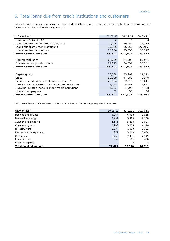## 6. Total loans due from credit institutions and customers

Nominal amounts related to loans due from credit institutions and customers, respectively, from the two previous tables are included in the following analysis.

| (NOK million)                                        | 30.09.12 | 31.12.11 | 30.09.11 |
|------------------------------------------------------|----------|----------|----------|
| Loan to KLP Kreditt AS                               | $\Omega$ | O        | $\Omega$ |
| Loans due from other credit institutions             | 19,106   | 26,252   | 27,215   |
| Loans due from credit institutions                   | 19,106   | 26,252   | 27,215   |
| Loans due from customers                             | 76,606   | 95,555   | 96,127   |
| <b>Total nominal amount</b>                          | 95,712   | 121,807  | 123,342  |
|                                                      |          |          |          |
| Commercial loans                                     | 66,039   | 87,208   | 87,041   |
| Government-supported loans                           | 29,673   | 34,599   | 36,301   |
| <b>Total nominal amount</b>                          | 95,712   | 121,807  | 123,342  |
|                                                      |          |          |          |
|                                                      |          |          |          |
| Capital goods                                        | 23,588   | 33,991   | 37,572   |
| Ships                                                | 39,299   | 44,989   | 49,240   |
| Export-related and international activities *)       | 22,804   | 32,318   | 26,011   |
| Direct loans to Norwegian local government sector    | 5,263    | 5,653    | 5,671    |
| Municipal-related loans to other credit institutions | 4,723    | 4,798    | 4,798    |
| Loans to employees                                   | 35       | 58       | 50       |

\*) Export-related and international activities consist of loans to the following categories of borrowers:

| (NOK million)               | 30.09.12 | 31.12.11 | 30.09.11 |
|-----------------------------|----------|----------|----------|
| Banking and finance         | 5,967    | 6,938    | 7,515    |
| Renewable energy            | 5,494    | 5.494    | 2,550    |
| Aviation and shipping       | 4,545    | 5,233    | 1,507    |
| Consumer goods              | 2,286    | 5,375    | 4,914    |
| Infrastructure              | 1,337    | 1,060    | 1,222    |
| Real estate management      | 1.271    | 5.063    | 5,084    |
| Oil and gas                 | 1,252    | 2.491    | 2,549    |
| Environment                 | 650      | 661      | 666      |
| Other categories            |          | 3        | 4        |
| <b>Total nominal amount</b> | 22,804   | 32,318   | 26,011   |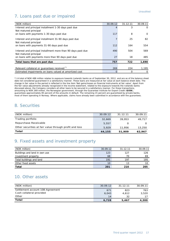## 7. Loans past due or impaired

| (NOK million)                                                                          | 30.09.12 | 31.12.11 | 30.09.11 |
|----------------------------------------------------------------------------------------|----------|----------|----------|
| Interest and principal installment 1-30 days past due                                  | 4        | 3        | $\Omega$ |
| Not matured principal                                                                  |          |          |          |
| on loans with payments 1-30 days past due                                              | 117      | 8        | $\Omega$ |
| Interest and principal installment 31-90 days past due<br>Not matured principal        | 7        | 25       | 82       |
| on loans with payments 31-90 days past due                                             | 112      | 164      | 554      |
| Interest and principal installment more than 90 days past due<br>Not matured principal | 490      | 504      | 569      |
| on loans with payments more than 90 days past due                                      | 27       | 18       | 485      |
| Total loans that are past due                                                          | 757      | 722      | 1,690    |
|                                                                                        |          |          |          |
| Relevant collateral or quarantees received <sup>*)</sup>                               | 269      | 224      | 1,195    |
| Estimated impairments on loans valued at amortized cost                                | 0        | Ο        | 0        |

\*) A total of NOK 488 million relates to exposure towards Icelandic banks as of September 30, 2012, and are as of the balance sheet date not considered guaranteed in a satisfactory manner. These loans are measured at fair value at each balance sheet date. The change in fair value in the period is reflected in the line item 'Net gains/losses on financial instruments at fair value'. Apart from the fair value adjustments already recognized in the income statement, related to the exposure towards the Icelandic banks discussed above, the Company considers all other loans to be secured in a satisfactory manner. For these transactions, amounting to NOK 269 million, the Norwegian government, through the Guarantee Institute for Export Credit (**GIEK**), guarantees approximately 85 percent of the amounts in default. The remaining 15 percent are guaranteed by private banks, most of them operating in Norway. Where applicable, claims have already been submitted in accordance with the guarantees.

#### 8. Securities

| (NOK million)                                          | 30.09.12 | 31.12.11 | 30.09.11 |
|--------------------------------------------------------|----------|----------|----------|
| Trading portfolio                                      | 32,669   | 39.953   | 49.717   |
| Repurchase Receivable                                  | 5,557    | Ο        | O.       |
| Other securities at fair value through profit and loss | 5.929    | 11.956   | 13,250   |
| Total                                                  | 44,155   | 51,909   | 62,967   |

#### 9. Fixed assets and investment property

| (NOK million)                 | 30.09.12        | 31.12.11 | 30.09.11 |
|-------------------------------|-----------------|----------|----------|
| Buildings and land in own use | 123             | 127      | 126      |
| Investment property           | 68              | 70       | 69       |
| Total buildings and land      | 191             | 197      | 195      |
| Other fixed assets            | 10 <sup>°</sup> | 13       | 10       |
| Total                         | 201             | 210      | 205      |

#### 10. Other assets

| (NOK million)                    | 30.09.12 | 31.12.11 | 30.09.11 |
|----------------------------------|----------|----------|----------|
| Settlement account 108-Agreement | 671      | 823      | 763      |
| Cash collateral provided         | 6,043    | 4.612    | 3,520    |
| Other                            | 14       | 32       | 17       |
| <b>Total</b>                     | 6.728    | 5.467    | 4,300    |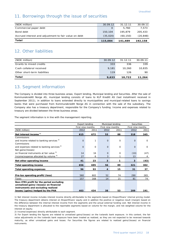### 11. Borrowings through the issue of securities

| (NOK million)                                         | 30.09.12 | 31.12.11  | 30.09.11  |
|-------------------------------------------------------|----------|-----------|-----------|
| Commercial paper debt                                 | $\Omega$ | 5.760     | 7.573     |
| Bond debt                                             | 150,104  | 195,879   | 205,433   |
| Accrued interest and adjustment to fair value on debt | (35,020) | (60, 150) | (20, 848) |
| Total                                                 | 115,084  | 141.489   | 192,158   |

## 12. Other liabilities

| Total                        | 9,633    | 10.722   | 11,264   |
|------------------------------|----------|----------|----------|
| Other short-term liabilities | 119      | 126      | 90       |
| Cash collateral received     | 9.181    | 10,260   | 10,835   |
| Grants to mixed credits      | 333      | 336      | 339      |
| (NOK million)                | 30.09.12 | 31.12.11 | 30.09.11 |

## 13. Segment information

The Company is divided into three business areas; Export lending, Municipal lending and Securities. After the sale of Kommunekreditt Norge AS, municipal lending consists of loans to KLP Kreditt AS (last installment received in September 2011), in addition to loans extended directly to municipalities and municipal-related loans to savings banks that were purchased from Kommunekreditt Norge AS in connection with the sale of the subsidiary. The Company also has a treasury department, responsible for the Company's funding. Income and expenses related to treasury are divided between the three business areas.

The segment information is in line with the management reporting.

|                                                        |                   | Export lending |              | Municipal lending |          | <b>Securities</b> |
|--------------------------------------------------------|-------------------|----------------|--------------|-------------------|----------|-------------------|
|                                                        | First nine months |                |              | First nine months |          | First nine months |
| (NOK million)                                          | 2012              | 2011           | 2012         | 2011              | 2012     | 2011              |
| Net interest income <sup>1)</sup>                      | 615               | 672            | 53           | 88                | 318      | 345               |
| Commissions                                            |                   |                |              |                   |          |                   |
| and income related to banking services <sup>2)</sup>   | $\mathbf{O}$      | $\mathbf{1}$   | $\mathbf{O}$ | $\mathbf 0$       | $\Omega$ | $\mathbf 0$       |
| Commissions                                            |                   |                |              |                   |          |                   |
| and expenses related to banking services <sup>2)</sup> | $\Omega$          | $\Omega$       | $\Omega$     | $\Omega$          | $\Omega$ | $\Omega$          |
| Net gains/(losses)                                     |                   |                |              |                   |          |                   |
| on financial instruments at fair value 3)              | 14                | 16             | $\Omega$     | $\Omega$          | (10)     | (47)              |
| Income/expense allocated by volume 4)                  | 27                | 6              | 3            |                   | 13       | 4                 |
| Net other operating income                             | 41                | 23             | 3            | 1                 | 3        | (43)              |
| <b>Total operating income</b>                          | 656               | 695            | 56           | 89                | 321      | 302               |
| <b>Total operating expenses</b>                        | 96                | 93             | 4            | 15                | 31       | 37                |
|                                                        |                   |                |              |                   |          |                   |
| Pre-tax operating profit/(loss)                        | 560               | 602            | 52           | 74                | 290      | 265               |
| Taxes                                                  | 157               | 168            | 14           | 21                | 81       | 74                |
| Non-IFRS profit for the period excluding               |                   |                |              |                   |          |                   |
| unrealized gains/(losses) on financial                 |                   |                |              |                   |          |                   |
| instruments and excluding realized                     |                   |                |              |                   |          |                   |
| losses/(gains) hedged by the PHA                       | 403               | 434            | 38           | 53                | 209      | 191               |

1) Net interest income includes interest income directly attributable to the segments based on Eksportfinans' internal pricing model. The treasury department obtains interest on Eksportfinans' equity and in addition the positive or negative result (margin) based on the difference between the internal interest income from the segments and the actual external funding cost. Net interest income in the treasury department is allocated to the reportable segments based on volume for the margin, and risk weighted volume for the interest on equity.

2) Income/(expenses) directly attributable to each segment.

3) For Export lending the figures are related to unrealized gains/(losses) on the Icelandic bank exposure. In this context, the fair value adjustments on the Icelandic bank exposure have been treated as realized, as they are not expected to be reversed towards maturity, as other unrealized gains and losses. For Securities the figures are related to realized gains/(losses) on financial instruments.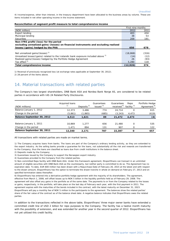4) Income/expense, other than interest, in the treasury department have been allocated to the business areas by volume. These are items included in net other operating income in the income statement.

#### **Reconciliation of segment profit measure to total comprehensive income**

|                                                                                               | First nine months |       |
|-----------------------------------------------------------------------------------------------|-------------------|-------|
| (NOK million)                                                                                 | 2012              | 2011  |
| Export lending                                                                                | 403               | 434   |
| Municipal lending                                                                             | 38                | 53    |
| Securities                                                                                    | 209               | 191   |
| Non-IFRS profit/(loss) for the period                                                         |                   |       |
| excluding unrealized gains/(losses) on financial instruments and excluding realized           |                   |       |
| losses/(gains) hedged by the PHA                                                              | 650               | 678   |
|                                                                                               |                   |       |
| Net unrealized gains/(losses) <sup>1)</sup>                                                   | (18, 868)         | (316) |
| Unrealized losses/(gains) related to the Icelandic bank exposure included above <sup>1)</sup> | (14)              | (12)  |
| Realized gains/(losses) hedged by the Portfolio Hedge Agreement                               | 26                | (93)  |
| Tax effect <sup>2)</sup>                                                                      | 5,280             | 118   |
| Total comprehensive income                                                                    | (12, 926)         | 374   |

1) Reversal of previously recognized loss (at exchange rates applicable at September 30, 2012).

2) 28 percent of the items above.

#### 14. Material transactions with related parties

The Company's two largest shareholders, DNB Bank ASA and Nordea Bank Norge AS, are considered to be related parties in accordance with IAS 24 Related Party Disclosures.

| (NOK millions)             | Acquired Ioans<br>1) | Deposits <sup>2)</sup> | Guarantees<br>issued 3) | Guarantees<br>received <sup>4)</sup> | Repo<br>facility <sup>5)</sup> | Portfolio Hedge<br>Agreement <sup>6)</sup> |
|----------------------------|----------------------|------------------------|-------------------------|--------------------------------------|--------------------------------|--------------------------------------------|
| Balance January 1, 2012    | 12,373               | 3.486                  | 774                     | 24.714                               | Ω                              | 615                                        |
| Change in the period       | (5,861)              | (1,865)                | (685)                   | (3, 243)                             | 4,473                          | (619)                                      |
| Balance September 30, 2012 | 6,513                | 1,621                  | 89                      | 21,472                               | 4,473                          | (4)                                        |
|                            |                      |                        |                         |                                      |                                |                                            |
| Balance January 1, 2011    | 10.869               | 1.277                  | 656                     | 21,480                               | $\Omega$                       | 535                                        |
| Change in the period       | 1.471                | 894                    | 131                     | 907                                  |                                | 122                                        |
| Balance September 30, 2011 | 12,340               | 2.171                  | 787                     | 22,387                               |                                | 657                                        |

All transactions with related parties are made on market terms.

1) The Company acquires loans from banks. The loans are part of the Company's ordinary lending activity, as they are extended to the export industry. As the selling banks provide a guarantee for the loans, not substantially all the risk and rewards are transferred to the Company, thus the loans are classified as loans due from credit institutions in the balance sheet.

2) Deposits made by the Company.

3) Guarantees issued by the Company to support the Norwegian export industry.

4) Guarantees provided to the Company from the related parties.

5) Non-committed Repo facility with DNB Bank ASA. Under this framework agreement, Eksportfinans can transact in an unlimited amount of eligible securities with DNB Bank ASA as the counterparty, but neither party is committed to do so. The Agreement has no expiration date. To date, EUR 600 million has been drawn with a Repurchase Date of February 26, 2015 at the latest and with respect to the drawn amount, Eksportfinans has the option to terminate the drawn tranche in whole on demand on February 27, 2013 and on specified termination dates thereafter.

6) Eksportfinans has entered into a derivative portfolio hedge agreement with the majority of its shareholders. The agreement, effective from March 1, 2008, will offset losses up to NOK 5 billion in the liquidity portfolio held as of February 29, 2008. The agreement will also offset any gains in the portfolio as of the same date. The payments to or from the Company related to the losses or gains, respectively, in the portfolio, will take place on the last day of February each year, with the first payment in 2011. The agreement expires with the maturities of the bonds included in the contract, with the latest maturity on December 31, 2023. Eksportfinans will pay a monthly fee of NOK 5 million to the participants to the agreement. The balances show the related parties' share of the fair value of the contract as of the balance sheet date. A negative balance indicates that Eksportfinans owes the related parties.

In addition to the transactions reflected in the above table, Eksportfinans' three major owner banks have extended a committed credit line of USD 2 billion for repo purposes to the Company. The facility has a twelve month maturity with the possibility of extension, and was extended for another year in the second quarter of 2012. Eksportfinans has not yet utilized this credit facility.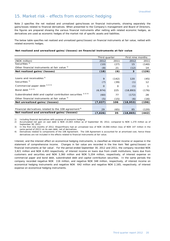#### 15. Market risk - effects from economic hedging

Note 2 specifies the net realized and unrealized gains/losses on financial instruments, showing separately the gains/losses related to financial derivatives. When presented to the Company's management and Board of Directors, the figures are prepared showing the various financial instruments after netting with related economic hedges, as derivatives are used as economic hedges of the market risk of specific assets and liabilities.

The below table specifies net realized and unrealized gains/(losses) on financial instruments at fair value, netted with related economic hedges.

#### **Net realized and unrealized gains/(losses) on financial instruments at fair value**

|                                                                  | Third quarter |          | First nine months |       |  |
|------------------------------------------------------------------|---------------|----------|-------------------|-------|--|
| (NOK million)                                                    | 2012          | 2011     | 2012              | 2011  |  |
| Securities <sup>1)</sup>                                         | (10)          | (27)     | 15                | (140) |  |
| Other financial instruments at fair value 1)                     | (8)           | 21       | (12)              | 14    |  |
| Net realized gains/(losses)                                      | (18)          | (6)      | 3                 | (126) |  |
|                                                                  |               |          |                   |       |  |
| Loans and receivables <sup>1)</sup>                              | 9             | (142)    | 120               | (45)  |  |
| Securities <sup>1)</sup>                                         | (7)           | (39)     | (1)               | 12    |  |
| Commercial paper debt 1) 2) 3)                                   | $\Omega$      | $\Omega$ | (1)               |       |  |
| Bond debt <sup>1)</sup> <sup>2)</sup> <sup>3)</sup>              | (6,974)       | 225      | (18, 893)         | (176) |  |
| Subordinated debt and capital contribution securities 1) 2) 3)   | (60)          | 77       | (172)             | 28    |  |
| Other financial instruments at fair value 1)                     | (5)           | (15)     | (6)               | (16)  |  |
| Net unrealized gains/(losses)                                    | (7,037)       | 106      | (18, 953)         | (196) |  |
|                                                                  |               |          |                   |       |  |
| Financial derivatives related to the 108 agreement <sup>4)</sup> | 29            | (65)     | 85                | (120) |  |
| Net realized and unrealized gains/(losses)                       | (7,026)       | 35       | (18, 865)         | (442) |  |

1) Including financial derivatives with purpose of economic hedging.

2) Accumulated net gain on own debt is NOK 23,003 million as of September 30, 2012, compared to NOK 1,270 million as of September 30, 2011.

3) In the first nine months of 2012, Eksportfinans had an unrealized loss of NOK 19,066 million (loss of NOK 147 million in the same period of 2011) on its own debt, net of derivatives.

4) Derivatives related to components of the 108 Agreement. The 108 Agreement is accounted for at amortized cost, hence these derivatives are not included in the effects related to financial instruments at fair value.

Interest, and the interest effect on economical hedging instruments, is classified as interest income or expense in the statement of comprehensive income. Changes in fair value are recorded in the line item 'Net gains/(losses) on financial instruments at fair value'. For the period ended September 30, 2012 and 2011, the company recorded NOK 3,821 million and NOK 4,493 respectively, of interest income on loans due from credit institutions, loans due from customers and securities and NOK 3,360 million and NOK 5,204 million, respectively, of interest expense on commercial paper and bond debt, subordinated debt and capital contribution securities. In the same periods the company recorded negative NOK 116 million, and negative NOK 348 million, respectively, of interest income on economical hedging instruments and negative NOK 642 million and negative NOK 2,165, respectively, of interest expense on economical hedging instruments.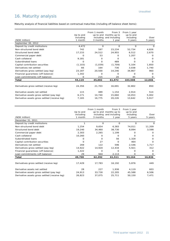# 16. Maturity analysis

Maturity analysis of financial liabilities based on contractual maturities (including off-balance sheet items):

| (NOK million)                                 | Up to and<br>including<br>1 month | From 1 month<br>3 months | From 3<br>up to and months up to<br>including and including<br>1 year | From 1 year<br>up to and<br>including<br>5 years | Over<br>5 years |
|-----------------------------------------------|-----------------------------------|--------------------------|-----------------------------------------------------------------------|--------------------------------------------------|-----------------|
| September 30, 2012                            |                                   |                          |                                                                       |                                                  |                 |
| Deposit by credit institutions                | 4,472                             | $\mathbf 0$              | $\mathbf 0$                                                           | O                                                | Ω               |
| Non-structured bond debt                      | 742                               | 597                      | 23,234                                                                | 52,734                                           | 4,826           |
| Structured bond debt                          | 17,233                            | 24,512                   | 24,955                                                                | 6,512                                            | 2,670           |
| Commercial paper debt                         | O                                 | 53                       | 0                                                                     | 1,207                                            | 0               |
| Cash collateral                               | 9,181                             | 0                        | $\Omega$                                                              | O                                                | $\Omega$        |
| Subordinated Ioans                            | $\Omega$                          | O                        | 489                                                                   | $\Omega$                                         | $\Omega$        |
| Capital contribution securities               | (1, 103)                          | (1,039)                  | (1,709)                                                               | 5,104                                            | 1,850           |
| Derivatives net settled                       | 66                                | 164                      | 736                                                                   | 3,038                                            | 1.740           |
| Derivatives gross settled (pay leg)           | 23,187                            | 20,500                   | 14,246                                                                | 34,867                                           | 960             |
| Financial guarantees (off-balance)            | 1,342                             | $\mathbf 0$              | $\Omega$                                                              | $\Omega$                                         | $\Omega$        |
| Loan commitments (off-balance)                | 0                                 | 215                      | 20                                                                    | 45                                               | $\Omega$        |
| Total                                         | 55,119                            | 45,002                   | 61,972                                                                | 103,508                                          | 12,046          |
|                                               |                                   |                          |                                                                       |                                                  |                 |
| Derivatives gross settled (receive leg)       | 24,356                            | 21,703                   | 16,691                                                                | 32,802                                           | 850             |
| Derivative assets net settled                 | 115                               | 489                      | 1,154                                                                 | 2,914                                            | 514             |
| Derivative assets gross settled (pay leg)     | 6,171                             | 14,740                   | 15,660                                                                | 10,053                                           | 5,002           |
| Derivative assets gross settled (receive leg) | 7,165                             | 16,775                   | 20,226                                                                | 13,642                                           | 5,917           |

| (NOK million)                                 | Up to and<br>including<br>1 month | From 1 month<br>3 months | From 3<br>up to and months up to<br>including and including<br>1 year | From 1 year<br>up to and<br>including<br>5 years | Over<br>5 years |
|-----------------------------------------------|-----------------------------------|--------------------------|-----------------------------------------------------------------------|--------------------------------------------------|-----------------|
| December 31, 2011                             | 1                                 | 0                        | 0                                                                     | $\Omega$                                         |                 |
| Deposit by credit institutions                |                                   |                          |                                                                       |                                                  | 0               |
| Non-structured bond debt                      | 1,254                             | 9,654                    | 6,383                                                                 | 74,011                                           | 11,209          |
| Structured bond debt                          | 19,240                            | 34,460                   | 38,730                                                                | 8,894                                            | 3,598           |
| Commercial paper debt                         | 2,303                             | 2,265                    | 1,199                                                                 | Ω                                                | Ω               |
| Cash collateral                               | 10,260                            | O                        | 0                                                                     | $\Omega$                                         | $\Omega$        |
| Subordinated Ioans                            | O                                 | 0                        | 56                                                                    | 1,328                                            | $\Omega$        |
| Capital contribution securities               | $\Omega$                          | 27                       | $\Omega$                                                              | 464                                              | $\Omega$        |
| Derivatives net settled                       | 269                               | 122                      | 596                                                                   | 2,546                                            | 1,717           |
| Derivatives gross settled (pay leg)           | 14,922                            | 14,920                   | 12,434                                                                | 5,921                                            | 312             |
| Financial guarantees (off-balance)            | 1,422                             | O                        | $\Omega$                                                              | $\Omega$                                         | $\Omega$        |
| Loan commitments (off-balance)                | 29                                | 944                      | 2,113                                                                 | 0                                                | $\Omega$        |
| Total                                         | 49,700                            | 62,392                   | 61,511                                                                | 93,164                                           | 16,836          |
|                                               |                                   |                          |                                                                       |                                                  |                 |
| Derivatives gross settled (receive leg)       | 17,429                            | 17,783                   | 16,192                                                                | 5,876                                            | 449             |
| Derivative assets net settled                 | 28                                | 227                      | 1,936                                                                 | 4,119                                            | 603             |
| Derivative assets gross settled (pay leg)     | 24,913                            | 33,730                   | 22,205                                                                | 45,588                                           | 6,506           |
| Derivative assets gross settled (receive leg) | 26,823                            | 37,075                   | 25,711                                                                | 50,150                                           | 7,471           |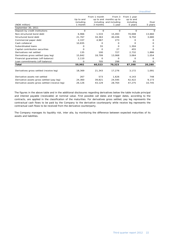| (NOK million)<br>September 30, 2011           | Up to and<br>including<br>1 month | From 1 month<br>3 months | From 3<br>up to and months up to<br>including and including<br>1 year | From 1 year<br>up to and<br>including<br>5 years | Over<br>5 years |
|-----------------------------------------------|-----------------------------------|--------------------------|-----------------------------------------------------------------------|--------------------------------------------------|-----------------|
| Deposit by credit institutions                | 0                                 | $\circ$                  | $\circ$                                                               | 0                                                | 0               |
|                                               |                                   |                          |                                                                       |                                                  |                 |
| Non-structured bond debt                      | 6,966                             | 1,533                    | 15,493                                                                | 70,008                                           | 13,660          |
| Structured bond debt                          | 21,767                            | 34,363                   | 40,436                                                                | 9,750                                            | 3,680           |
| Commercial paper debt                         | 2,337                             | 4,967                    | 273                                                                   | $\Omega$                                         | $\circ$         |
| Cash collateral                               | 10,835                            | $\Omega$                 | $\Omega$                                                              | $\Omega$                                         | $\Omega$        |
| Subordinated loans                            | $\Omega$                          | 55                       | $\Omega$                                                              | 1.304                                            | $\Omega$        |
| Capital contribution securities               | O                                 | O                        | 27                                                                    | 455                                              | $\Omega$        |
| Derivatives net settled                       | 135                               | 100                      | 727                                                                   | 2,732                                            | 1,886           |
| Derivatives gross settled (pay leg)           | 15,842                            | 18,799                   | 13,068                                                                | 3,064                                            | 1,054           |
| Financial guarantees (off-balance)            | 2,110                             | 0                        | 0                                                                     | 0                                                | $\Omega$        |
| Loan commitments (off-balance)                | O                                 | 705                      | 298                                                                   | 85                                               | $\circ$         |
| Total                                         | 59,992                            | 60,523                   | 70,323                                                                | 87,398                                           | 20,280          |
|                                               |                                   |                          |                                                                       |                                                  |                 |
| Derivatives gross settled (receive leg)       | 18,369                            | 21,343                   | 17,276                                                                | 3,172                                            | 1,091           |
| Derivative assets net settled                 | 267                               | 573                      | 1,626                                                                 | 4,143                                            | 748             |
| Derivative assets gross settled (pay leg)     | 24,360                            | 39,821                   | 24,595                                                                | 42,422                                           | 9,173           |
| Derivative assets gross settled (receive leg) | 26,126                            | 43,129                   | 28,764                                                                | 47,275                                           | 10,745          |

The figures in the above table and in the additional disclosures regarding derivatives below the table include principal and interest payable (receivable) at nominal value. First possible call dates and trigger dates, according to the contracts, are applied in the classification of the maturities. For derivatives gross settled, pay leg represents the contractual cash flows to be paid by the Company to the derivative counterparty while receive leg represents the contractual cash flows to be received from the derivative counterparty.

The Company manages its liquidity risk, inter alia, by monitoring the difference between expected maturities of its assets and liabilities.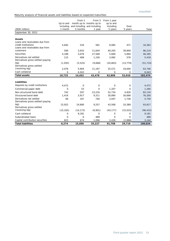Maturity analysis of financial assets and liabilities based on expected maturities:

| (NOK million)<br>September 30, 2012                                                     | Up to and<br>including<br>1 month | From 1<br>3 months | From 3<br>month up to months up to<br>and including and including<br>1 year | From 1 year<br>up to and<br>including<br>5 years | Over<br>5 years | Total     |
|-----------------------------------------------------------------------------------------|-----------------------------------|--------------------|-----------------------------------------------------------------------------|--------------------------------------------------|-----------------|-----------|
| <b>Assets</b>                                                                           |                                   |                    |                                                                             |                                                  |                 |           |
| Loans and receivables due from<br>credit institutions<br>Loans and receivables due from | 5.692                             | 534                | 581                                                                         | 9,085                                            | 471             | 16,363    |
| customers                                                                               | 590                               | 3,932              | 11,644                                                                      | 40,205                                           | 39,849          | 96,219    |
| <b>Securities</b>                                                                       | 4,188                             | 3,076              | 27,568                                                                      | 5,669                                            | 5,894           | 46,395    |
| Derivatives net settled                                                                 | 115                               | 489                | 1,156                                                                       | 3,082                                            | 576             | 5,418     |
| Derivatives gross settled (paying<br>leg)<br>Derivatives gross settled                  | (1,935)                           | (5, 525)           | (9,668)                                                                     | (20, 803)                                        | (13, 779)       | (51, 710) |
| (receiving leg)                                                                         | 2,076                             | 5,904              | 11,197                                                                      | 25,571                                           | 19,000          | 63,746    |
| Cash collateral                                                                         | 0                                 | 6,043              | 0                                                                           | 0                                                | 0               | 6,043     |
| <b>Total assets</b>                                                                     | 10,725                            | 14,452             | 42,478                                                                      | 62,809                                           | 52,010          | 182,474   |
| Liabilities                                                                             |                                   |                    |                                                                             |                                                  |                 |           |
| Deposits by credit institutions                                                         | 4,472                             | 0                  | $\Omega$                                                                    | 0                                                | 0               | 4,472     |
| Commercial paper debt                                                                   | 0                                 | 53                 | 0                                                                           | 1,207                                            | 0               | 1,260     |
| Non-structured bond debt                                                                | 742                               | 597                | 23,234                                                                      | 52,734                                           | 4,826           | 82,134    |
| Structured bond debt                                                                    | 1.414                             | 3,917              | 9,311                                                                       | 30,890                                           | 30,668          | 76,200    |
| Derivatives net settled<br>Derivatives gross settled (paying                            | 66                                | 167                | 740                                                                         | 3,047                                            | 1,738           | 5,759     |
| $\text{leg}$ )<br>Derivatives gross settled                                             | 15,922                            | 14,680             | 9,257                                                                       | 43,568                                           | 10,389          | 93,817    |
| (receiving leg)                                                                         | (15, 165)                         | (14, 173)          | (8,901)                                                                     | (43, 177)                                        | (15, 015)       | (96, 432) |
| Cash collateral                                                                         | 0                                 | 9,181              | 0                                                                           | 0                                                | 0               | 9,181     |
| Subordinated loans                                                                      | 0                                 | 0                  | 489                                                                         | 0                                                | 0               | 489       |
| Capital contribution securities                                                         | 823                               | 674                | 1,096                                                                       | 3,439                                            | (2,888)         | 3,144     |
| <b>Total liabilities</b>                                                                | 8.274                             | 15,096             | 35,227                                                                      | 91,708                                           | 29,719          | 180,024   |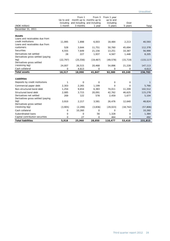| (NOK million)                                                          | Up to and<br>including<br>1 month | From 1<br>3 months | From 3<br>month up to months up to<br>and including and including<br>1 year | From 1 year<br>up to and<br>including<br>5 years | Over<br>5 years | Total      |
|------------------------------------------------------------------------|-----------------------------------|--------------------|-----------------------------------------------------------------------------|--------------------------------------------------|-----------------|------------|
| December 31, 2011                                                      |                                   |                    |                                                                             |                                                  |                 |            |
| <b>Assets</b><br>Loans and receivables due from<br>credit institutions | 11,995                            | 1,898              | 6,003                                                                       | 18,484                                           | 2,213           | 40,593     |
| Loans and receivables due from                                         |                                   |                    |                                                                             |                                                  |                 |            |
| customers                                                              | 528                               | 3,644              | 11,751                                                                      | 50,760                                           | 45,694          | 112,378    |
| <b>Securities</b>                                                      | 4,555                             | 7,649              | 21,156                                                                      | 13,251                                           | 10,387          | 56,999     |
| Derivatives net settled                                                | 28                                | 227                | 1,937                                                                       | 4,567                                            | 1,446           | 8,205      |
| Derivatives gross settled (paying<br>leg)                              | (22, 797)                         | (25, 556)          | (19, 467)                                                                   | (49, 578)                                        | (15, 719)       | (133, 117) |
| Derivatives gross settled<br>(receiving leg)                           | 24,007                            | 26,515             | 20,468                                                                      | 54,896                                           | 21,228          | 147,113    |
| Cash collateral                                                        | 0                                 | 4,613              | 0                                                                           | 0                                                | 0               | 4,613      |
| <b>Total assets</b>                                                    | 18,317                            | 18,990             | 41,847                                                                      | 92,380                                           | 65,249          | 236,783    |
|                                                                        |                                   |                    |                                                                             |                                                  |                 |            |
| <b>Liabilities</b>                                                     |                                   |                    |                                                                             |                                                  |                 |            |
| Deposits by credit institutions                                        | 1                                 | $\mathbf 0$        | $\Omega$                                                                    | 0                                                | 0               | 1          |
| Commercial paper debt                                                  | 2,303                             | 2,265              | 1,199                                                                       | $\Omega$                                         | 0               | 5,766      |
| Non-structured bond debt                                               | 1,254                             | 9,654              | 6,383                                                                       | 74,011                                           | 11,209          | 102,512    |
| Structured bond debt                                                   | 2,085                             | 3,715              | 20,091                                                                      | 42,762                                           | 46,625          | 115,278    |
| Derivatives net settled<br>Derivatives gross settled (paying           | 269                               | 122                | 578                                                                         | 2,459                                            | 1,677           | 5,104      |
| leq)<br>Derivatives gross settled                                      | 3,910                             | 2,217              | 3,581                                                                       | 26,476                                           | 12,640          | 48,824     |
| (receiving leg)                                                        | (3,905)                           | (2, 299)           | (3,836)                                                                     | (29, 023)                                        | (18, 742)       | (57, 806)  |
| Cash collateral                                                        | 0                                 | 10,260             | $\Omega$                                                                    | 0                                                | 0               | 10,260     |
| Subordinated loans                                                     | $\Omega$                          | $\mathbf 0$        | 56                                                                          | 1,328                                            | 0               | 1,384      |
| Capital contribution securities                                        | $\Omega$                          | 27                 | $\Omega$                                                                    | 464                                              | 0               | 492        |
| <b>Total liabilities</b>                                               | 5.918                             | 25,960             | 28,050                                                                      | 118,477                                          | 53,410          | 231,815    |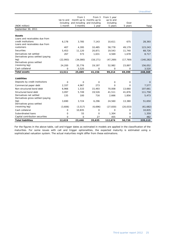| (NOK million)                     | Up to and<br>including<br>1 month | From 1<br>3 months | From 3<br>month up to months up to<br>and including and including<br>1 year | From 1 year<br>up to and<br>including<br>5 years | Over<br>5 years | Total       |
|-----------------------------------|-----------------------------------|--------------------|-----------------------------------------------------------------------------|--------------------------------------------------|-----------------|-------------|
| September 30, 2011                |                                   |                    |                                                                             |                                                  |                 |             |
|                                   |                                   |                    |                                                                             |                                                  |                 |             |
| <b>Assets</b>                     |                                   |                    |                                                                             |                                                  |                 |             |
| Loans and receivables due from    |                                   |                    |                                                                             |                                                  |                 |             |
| credit institutions               | 6,178                             | 3,785              | 7,143                                                                       | 10,611                                           | 675             | 28,393      |
| Loans and receivables due from    |                                   |                    |                                                                             |                                                  |                 |             |
| customers                         | 407                               | 4,395              | 10,485                                                                      | 58,778                                           | 49,179          | 123,243     |
| <b>Securities</b>                 | 5,453                             | 11,120             | 20,871                                                                      | 19,543                                           | 11,740          | 68,726      |
| Derivatives net settled           | 267                               | 573                | 1,631                                                                       | 4,569                                            | 1,678           | 8,717       |
| Derivatives gross settled (paying |                                   |                    |                                                                             |                                                  |                 |             |
| leg)                              | (22, 993)                         | (34,080)           | (18, 171)                                                                   | (47, 269)                                        | (17, 769)       | (140, 282)  |
| Derivatives gross settled         |                                   |                    |                                                                             |                                                  |                 |             |
| (receiving leg)                   | 24,200                            | 35,776             | 19,197                                                                      | 52,982                                           | 23,897          | 156,052     |
| Cash collateral                   | 0                                 | 3,520              | 0                                                                           | $\mathbf 0$                                      | 0               | 3,520       |
| <b>Total assets</b>               | 13,511                            | 25,089             | 41,156                                                                      | 99,214                                           | 69,399          | 248,369     |
|                                   |                                   |                    |                                                                             |                                                  |                 |             |
| <b>Liabilities</b>                |                                   |                    |                                                                             |                                                  |                 |             |
| Deposits by credit institutions   | 0                                 | 0                  | $\Omega$                                                                    | 0                                                | 0               | $\mathbf 0$ |
| Commercial paper debt             | 2,337                             | 4,967              | 273                                                                         | $\Omega$                                         | 0               | 7,577       |
| Non-structured bond debt          | 6,966                             | 1,533              | 15,493                                                                      | 70,008                                           | 13,660          | 107,661     |
| Structured bond debt              | 3,097                             | 5,749              | 19,526                                                                      | 41,511                                           | 41,876          | 111,758     |
| Derivatives net settled           | 135                               | 100                | 716                                                                         | 2,666                                            | 1,856           | 5,473       |
| Derivatives gross settled (paying |                                   |                    |                                                                             |                                                  |                 |             |
| leq)                              | 3,690                             | 3,724              | 6,296                                                                       | 24,560                                           | 13,380          | 51,650      |
| Derivatives gross settled         |                                   |                    |                                                                             |                                                  |                 |             |
| (receiving leg)                   | (3,606)                           | (3, 517)           | (6,696)                                                                     | (27, 830)                                        | (20, 033)       | (61, 682)   |
| Cash collateral                   | 0                                 | 10,835             | 0                                                                           | 0                                                | 0               | 10,835      |
| Subordinated loans                | 0                                 | 55                 | 0                                                                           | 1,304                                            | 0               | 1,359       |
| Capital contribution securities   | 0                                 | $\mathbf 0$        | 27                                                                          | 455                                              | 0               | 482         |
| <b>Total liabilities</b>          | 12,619                            | 23,446             | 35,635                                                                      | 112,674                                          | 50.739          | 235,113     |

For the figures in the above table, call and trigger dates as estimated in models are applied in the classification of the maturities. For some issues with call and trigger optionalities, the expected maturity is estimated using a sophisticated valuation system. The actual maturities might differ from these estimations.